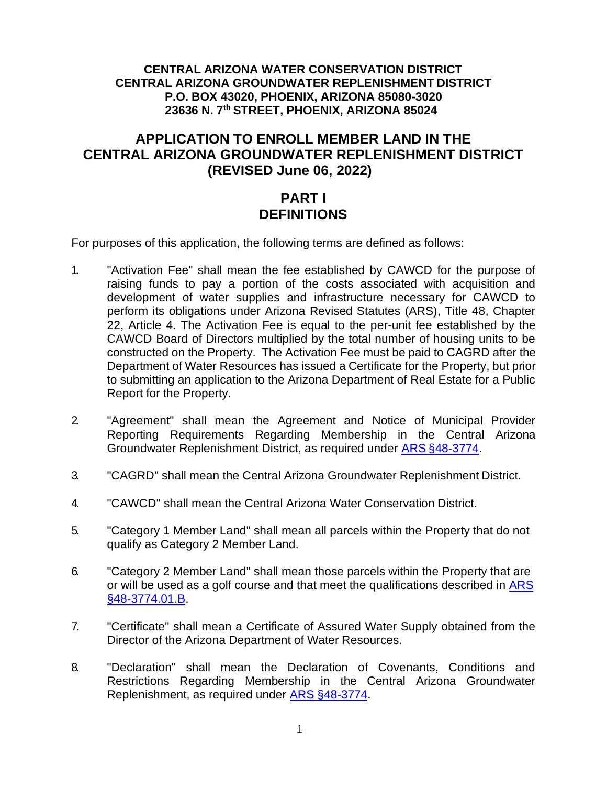#### **CENTRAL ARIZONA WATER CONSERVATION DISTRICT CENTRAL ARIZONA GROUNDWATER REPLENISHMENT DISTRICT P.O. BOX 43020, PHOENIX, ARIZONA 85080-3020 23636 N. 7th STREET, PHOENIX, ARIZONA 85024**

### **APPLICATION TO ENROLL MEMBER LAND IN THE CENTRAL ARIZONA GROUNDWATER REPLENISHMENT DISTRICT (REVISED June 06, 2022)**

### **PART I DEFINITIONS**

For purposes of this application, the following terms are defined as follows:

- 1. "Activation Fee" shall mean the fee established by CAWCD for the purpose of raising funds to pay a portion of the costs associated with acquisition and development of water supplies and infrastructure necessary for CAWCD to perform its obligations under Arizona Revised Statutes (ARS), Title 48, Chapter 22, Article 4. The Activation Fee is equal to the per-unit fee established by the CAWCD Board of Directors multiplied by the total number of housing units to be constructed on the Property. The Activation Fee must be paid to CAGRD after the Department of Water Resources has issued a Certificate for the Property, but prior to submitting an application to the Arizona Department of Real Estate for a Public Report for the Property.
- 2. "Agreement" shall mean the Agreement and Notice of Municipal Provider Reporting Requirements Regarding Membership in the Central Arizona Groundwater Replenishment District, as required under ARS [§48-3774.](http://www.azleg.gov/ars/48/03774.htm)
- 3. "CAGRD" shall mean the Central Arizona Groundwater Replenishment District.
- 4. "CAWCD" shall mean the Central Arizona Water Conservation District.
- 5. "Category 1 Member Land" shall mean all parcels within the Property that do not qualify as Category 2 Member Land.
- 6. "Category 2 Member Land" shall mean those parcels within the Property that are or will be used as a golf course and that meet the qualifications described in [ARS](http://www.azleg.gov/ars/48/03774-01.htm) [§48-3774.01.B.](http://www.azleg.gov/ars/48/03774-01.htm)
- 7. "Certificate" shall mean a Certificate of Assured Water Supply obtained from the Director of the Arizona Department of Water Resources.
- 8. "Declaration" shall mean the Declaration of Covenants, Conditions and Restrictions Regarding Membership in the Central Arizona Groundwater Replenishment, as required under ARS [§48-3774.](http://www.azleg.gov/ars/48/03774.htm)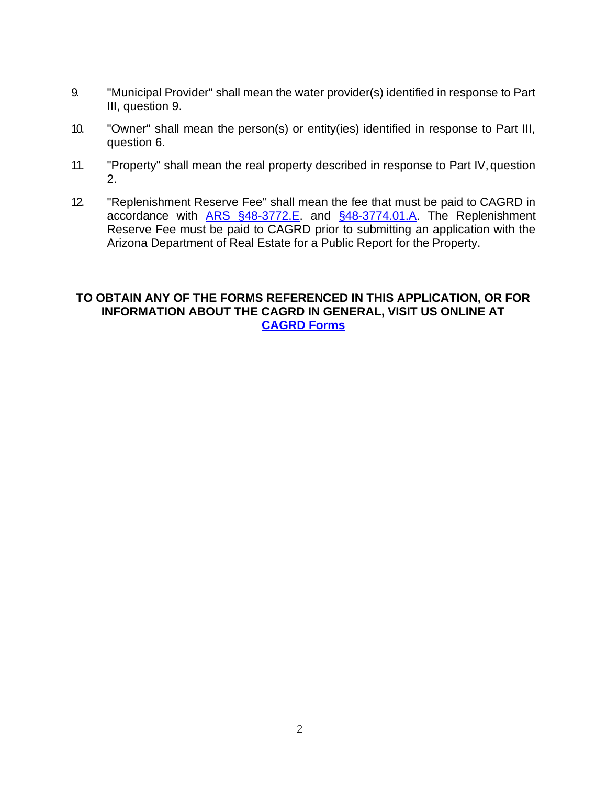- 9. "Municipal Provider" shall mean the water provider(s) identified in response to Part III, question 9.
- 10. "Owner" shall mean the person(s) or entity(ies) identified in response to Part III, question 6.
- 11. "Property" shall mean the real property described in response to Part IV,question 2.
- 12. "Replenishment Reserve Fee" shall mean the fee that must be paid to CAGRD in accordance with [ARS §48-3772.E.](http://www.azleg.gov/ars/48/03772.htm) and [§48-3774.01.A.](http://www.azleg.gov/ars/48/03774-01.htm) The Replenishment Reserve Fee must be paid to CAGRD prior to submitting an application with the Arizona Department of Real Estate for a Public Report for the Property.

#### **TO OBTAIN ANY OF THE FORMS REFERENCED IN THIS APPLICATION, OR FOR INFORMATION ABOUT THE CAGRD IN GENERAL, VISIT US ONLINE AT [CAGRD Forms](http://www.cagrd.com/enrollment/enrollment-applications-forms)**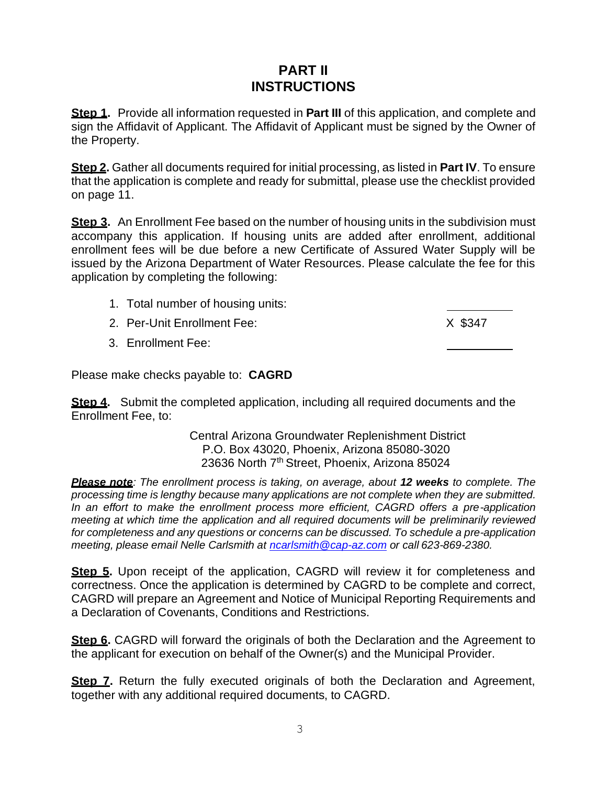## **PART II INSTRUCTIONS**

**Step 1.** Provide all information requested in **Part III** of this application, and complete and sign the Affidavit of Applicant. The Affidavit of Applicant must be signed by the Owner of the Property.

**Step 2.** Gather all documents required for initial processing, as listed in **Part IV**. To ensure that the application is complete and ready for submittal, please use the checklist provided on page 11.

**Step 3.** An Enrollment Fee based on the number of housing units in the subdivision must accompany this application. If housing units are added after enrollment, additional enrollment fees will be due before a new Certificate of Assured Water Supply will be issued by the Arizona Department of Water Resources. Please calculate the fee for this application by completing the following:

- 1. Total number of housing units: 2. Per-Unit Enrollment Fee: X \$347
	- 3. Enrollment Fee:

Please make checks payable to: **CAGRD**

**Step 4.** Submit the completed application, including all required documents and the Enrollment Fee, to:

> Central Arizona Groundwater Replenishment District P.O. Box 43020, Phoenix, Arizona 85080-3020 23636 North 7<sup>th</sup> Street, Phoenix, Arizona 85024

*Please note: The enrollment process is taking, on average, about 12 weeks to complete. The processing time is lengthy because many applications are not complete when they are submitted. In an effort to make the enrollment process more efficient, CAGRD offers a pre-application meeting at which time the application and all required documents will be preliminarily reviewed for completeness and any questions or concerns can be discussed. To schedule a pre-application meeting, please email Nelle Carlsmith at [ncarlsmith@cap-az.com](mailto:ncarlsmith@cap-az.com) or call 623-869-2380.*

**Step 5.** Upon receipt of the application, CAGRD will review it for completeness and correctness. Once the application is determined by CAGRD to be complete and correct, CAGRD will prepare an Agreement and Notice of Municipal Reporting Requirements and a Declaration of Covenants, Conditions and Restrictions.

**Step 6.** CAGRD will forward the originals of both the Declaration and the Agreement to the applicant for execution on behalf of the Owner(s) and the Municipal Provider.

**Step 7.** Return the fully executed originals of both the Declaration and Agreement, together with any additional required documents, to CAGRD.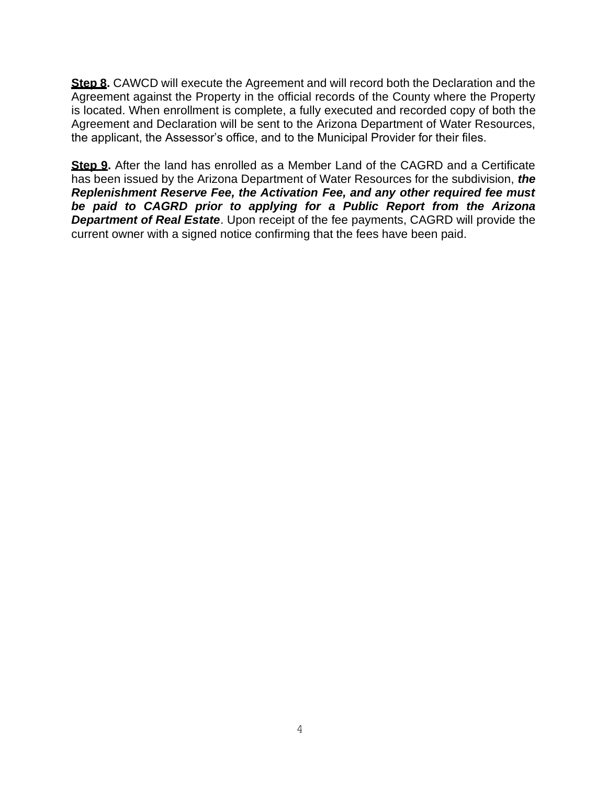**Step 8.** CAWCD will execute the Agreement and will record both the Declaration and the Agreement against the Property in the official records of the County where the Property is located. When enrollment is complete, a fully executed and recorded copy of both the Agreement and Declaration will be sent to the Arizona Department of Water Resources, the applicant, the Assessor's office, and to the Municipal Provider for their files.

**Step 9.** After the land has enrolled as a Member Land of the CAGRD and a Certificate has been issued by the Arizona Department of Water Resources for the subdivision, *the Replenishment Reserve Fee, the Activation Fee, and any other required fee must be paid to CAGRD prior to applying for a Public Report from the Arizona Department of Real Estate*. Upon receipt of the fee payments, CAGRD will provide the current owner with a signed notice confirming that the fees have been paid.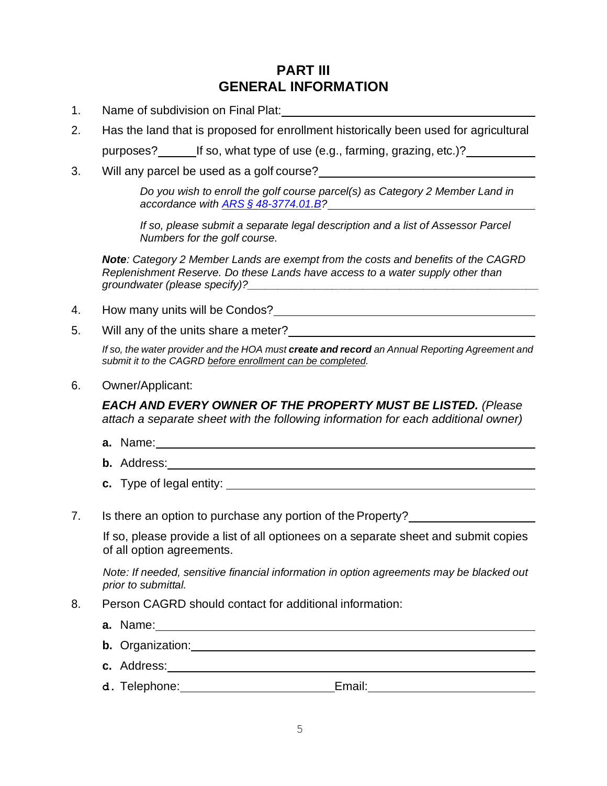## **PART III GENERAL INFORMATION**

- 1. Name of subdivision on Final Plat:
- 2. Has the land that is proposed for enrollment historically been used for agricultural purposes? If so, what type of use (e.g., farming, grazing, etc.)?
- 3. Will any parcel be used as a golf course?

*Do you wish to enroll the golf course parcel(s) as Category 2 Member Land in accordance with ARS § [48-3774.01.B?](http://www.azleg.gov/ars/48/03774-01.htm)*

*If so, please submit a separate legal description and a list of Assessor Parcel Numbers for the golf course.*

*Note: Category 2 Member Lands are exempt from the costs and benefits of the CAGRD Replenishment Reserve. Do these Lands have access to a water supply other than groundwater (please specify)?* 

- 4. How many units will be Condos?
- 5. Will any of the units share a meter?

*If so, the water provider and the HOA must create and record an Annual Reporting Agreement and submit it to the CAGRD before enrollment can be completed.*

6. Owner/Applicant:

*EACH AND EVERY OWNER OF THE PROPERTY MUST BE LISTED. (Please attach a separate sheet with the following information for each additional owner)*

- **a.** Name:
- **b.** Address:
- **c.** Type of legal entity:
- 7. Is there an option to purchase any portion of the Property?

If so, please provide a list of all optionees on a separate sheet and submit copies of all option agreements.

*Note: If needed, sensitive financial information in option agreements may be blacked out prior to submittal.*

- 8. Person CAGRD should contact for additional information:
	- **a.** Name:
	- **b.** Organization:
	- **c.** Address:
	- d. Telephone: \_\_\_\_\_\_\_\_\_\_\_\_\_\_\_\_\_\_\_\_\_\_\_\_\_\_\_Email: \_\_\_\_\_\_\_\_\_\_\_\_\_\_\_\_\_\_\_\_\_\_\_\_\_\_\_\_\_\_\_\_\_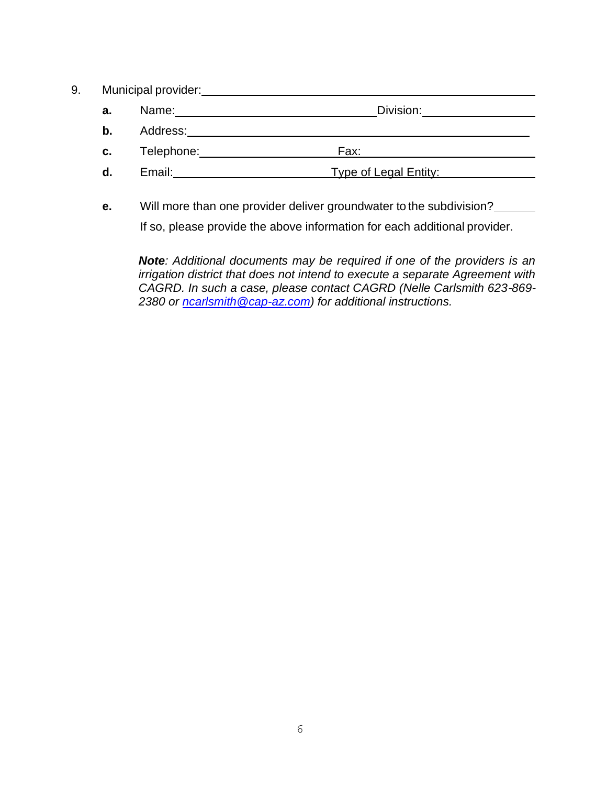- 9. Municipal provider:
	- **a.** Name: Division:
	- **b.** Address:
	- **c.** Telephone: Fax:
	- **d.** Email: Type of Legal Entity:
	- **e.** Will more than one provider deliver groundwater to the subdivision?

If so, please provide the above information for each additional provider.

*Note: Additional documents may be required if one of the providers is an irrigation district that does not intend to execute a separate Agreement with CAGRD. In such a case, please contact CAGRD (Nelle Carlsmith 623-869- 2380 or [ncarlsmith@cap-az.com\)](mailto:ncarlsmith@cap-az.com) for additional instructions.*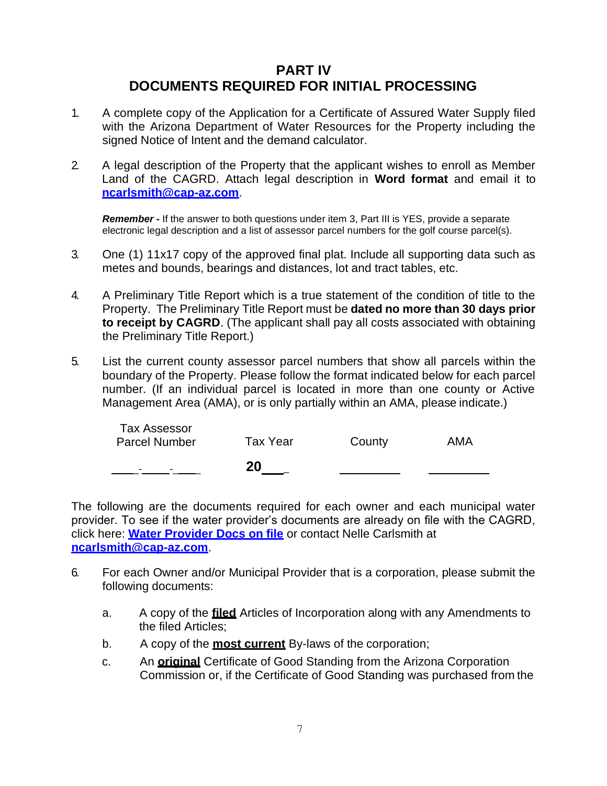## **PART IV DOCUMENTS REQUIRED FOR INITIAL PROCESSING**

- 1. A complete copy of the Application for a Certificate of Assured Water Supply filed with the Arizona Department of Water Resources for the Property including the signed Notice of Intent and the demand calculator.
- 2. A legal description of the Property that the applicant wishes to enroll as Member Land of the CAGRD. Attach legal description in **Word format** and email it t[o](mailto:ncarlsmith@cap-az.com) **[ncarlsmith@cap-az.com](mailto:ncarlsmith@cap-az.com)**.

*Remember -* If the answer to both questions under item 3, Part III is YES, provide a separate electronic legal description and a list of assessor parcel numbers for the golf course parcel(s).

- 3. One (1) 11x17 copy of the approved final plat. Include all supporting data such as metes and bounds, bearings and distances, lot and tract tables, etc.
- 4. A Preliminary Title Report which is a true statement of the condition of title to the Property. The Preliminary Title Report must be **dated no more than 30 days prior to receipt by CAGRD**. (The applicant shall pay all costs associated with obtaining the Preliminary Title Report.)
- 5. List the current county assessor parcel numbers that show all parcels within the boundary of the Property. Please follow the format indicated below for each parcel number. (If an individual parcel is located in more than one county or Active Management Area (AMA), or is only partially within an AMA, please indicate.)

| -                                           | 20       |        |     |
|---------------------------------------------|----------|--------|-----|
| <b>Tax Assessor</b><br><b>Parcel Number</b> | Tax Year | County | AMA |

The following are the documents required for each owner and each municipal water provider. To see if the water provider's documents are already on file with the CAGRD, click here: **[Water Provider Docs on file](http://www.cagrd.com/documents/enrollment/Water-Providers.pdf)** or contact Nelle Carlsmith at **[ncarlsmith@cap-az.com](mailto:ncarlsmith@cap-az.com)**.

- 6. For each Owner and/or Municipal Provider that is a corporation, please submit the following documents:
	- a. A copy of the **filed** Articles of Incorporation along with any Amendments to the filed Articles;
	- b. A copy of the **most current** By-laws of the corporation;
	- c. An **original** Certificate of Good Standing from the Arizona Corporation Commission or, if the Certificate of Good Standing was purchased from the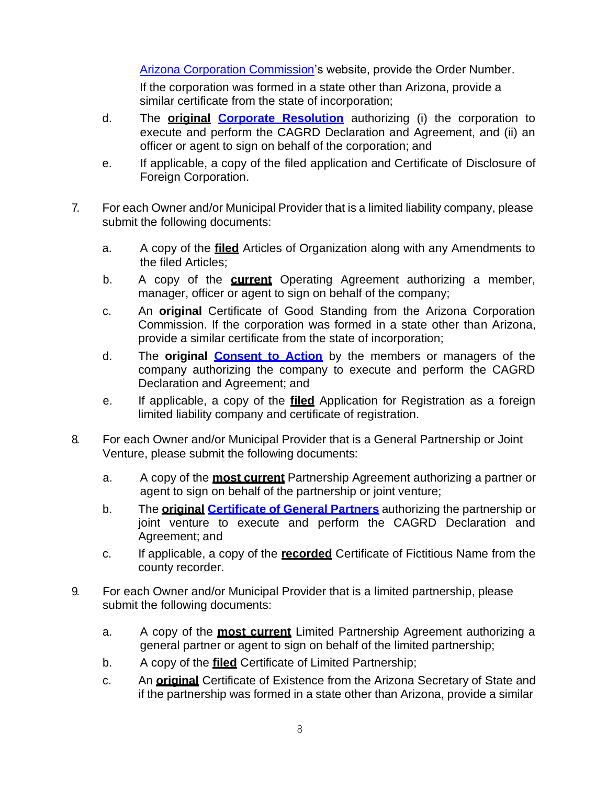[Arizona Corporation Commission'](http://ecorp.azcc.gov/)s website, provide the Order Number.

If the corporation was formed in a state other than Arizona, provide a similar certificate from the state of incorporation;

- d. The **original [Corporate Resolution](http://www.cagrd.com/documents/enrollment/corporateresolution_fillable_online_doc_2.pdf)** authorizing (i) the corporation to execute and perform the CAGRD Declaration and Agreement, and (ii) an officer or agent to sign on behalf of the corporation; and
- e. If applicable, a copy of the filed application and Certificate of Disclosure of Foreign Corporation.
- 7. For each Owner and/or Municipal Provider that is a limited liability company, please submit the following documents:
	- a. A copy of the **filed** Articles of Organization along with any Amendments to the filed Articles;
	- b. A copy of the **current** Operating Agreement authorizing a member, manager, officer or agent to sign on behalf of the company;
	- c. An **original** Certificate of Good Standing from the Arizona Corporation Commission. If the corporation was formed in a state other than Arizona, provide a similar certificate from the state of incorporation;
	- d. The **original [Consent to Action](http://www.cagrd.com/documents/enrollment/Certified_Consent_Fillable_online.pdf)** by the members or managers of the company authorizing the company to execute and perform the CAGRD Declaration and Agreement; and
	- e. If applicable, a copy of the **filed** Application for Registration as a foreign limited liability company and certificate of registration.
- 8. For each Owner and/or Municipal Provider that is a General Partnership or Joint Venture, please submit the following documents:
	- a. A copy of the **most current** Partnership Agreement authorizing a partner or agent to sign on behalf of the partnership or joint venture;
	- b. The **original [Certificate](http://www.cagrd.com/documents/enrollment/certofgeneralpartners.pdf) of General Partners** authorizing the partnership or joint venture to execute and perform the CAGRD Declaration and Agreement; and
	- c. If applicable, a copy of the **recorded** Certificate of Fictitious Name from the county recorder.
- 9. For each Owner and/or Municipal Provider that is a limited partnership, please submit the following documents:
	- a. A copy of the **most current** Limited Partnership Agreement authorizing a general partner or agent to sign on behalf of the limited partnership;
	- b. A copy of the **filed** Certificate of Limited Partnership;
	- c. An **original** Certificate of Existence from the Arizona Secretary of State and if the partnership was formed in a state other than Arizona, provide a similar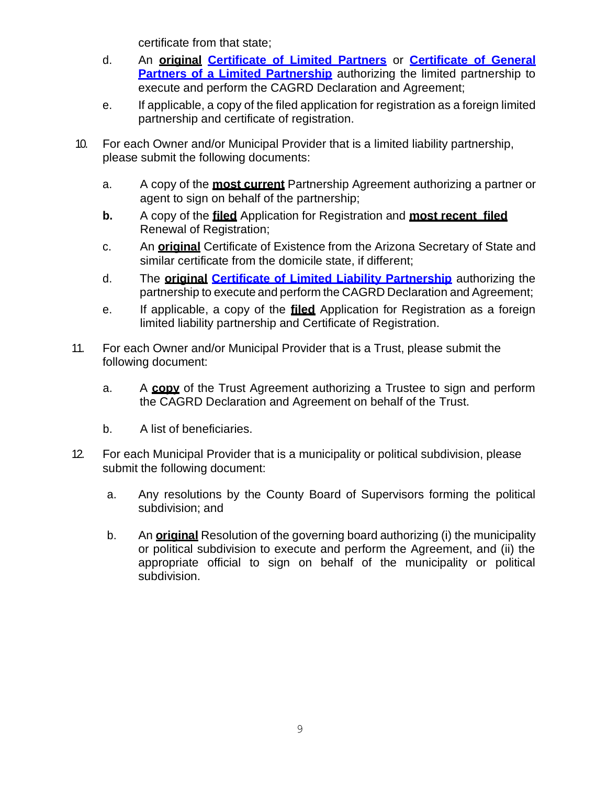certificate from that state;

- d. An **original [Certificate of Limited Partners](http://www.cagrd.com/documents/enrollment/certlimitedpartnership.pdf)** or **[Certificate of General](http://www.cagrd.com/documents/enrollment/certlimitedpart.pdf) [Partners of a Limited Partnership](http://www.cagrd.com/documents/enrollment/certlimitedpart.pdf)** authorizing the limited partnership to execute and perform the CAGRD Declaration and Agreement;
- e. If applicable, a copy of the filed application for registration as a foreign limited partnership and certificate of registration.
- 10. For each Owner and/or Municipal Provider that is a limited liability partnership, please submit the following documents:
	- a. A copy of the **most current** Partnership Agreement authorizing a partner or agent to sign on behalf of the partnership:
	- **b.** A copy of the **filed** Application for Registration and **most recent filed** Renewal of Registration;
	- c. An **original** Certificate of Existence from the Arizona Secretary of State and similar certificate from the domicile state, if different;
	- d. The **original [Certificate of Limited Liability Partnership](http://www.cagrd.com/documents/enrollment/certlimitedliabilitypart.pdf)** authorizing the partnership to execute and perform the CAGRD Declaration and Agreement;
	- e. If applicable, a copy of the **filed** Application for Registration as a foreign limited liability partnership and Certificate of Registration.
- 11. For each Owner and/or Municipal Provider that is a Trust, please submit the following document:
	- a. A **copy** of the Trust Agreement authorizing a Trustee to sign and perform the CAGRD Declaration and Agreement on behalf of the Trust.
	- b. A list of beneficiaries.
- 12. For each Municipal Provider that is a municipality or political subdivision, please submit the following document:
	- a. Any resolutions by the County Board of Supervisors forming the political subdivision; and
	- b. An **original** Resolution of the governing board authorizing (i) the municipality or political subdivision to execute and perform the Agreement, and (ii) the appropriate official to sign on behalf of the municipality or political subdivision.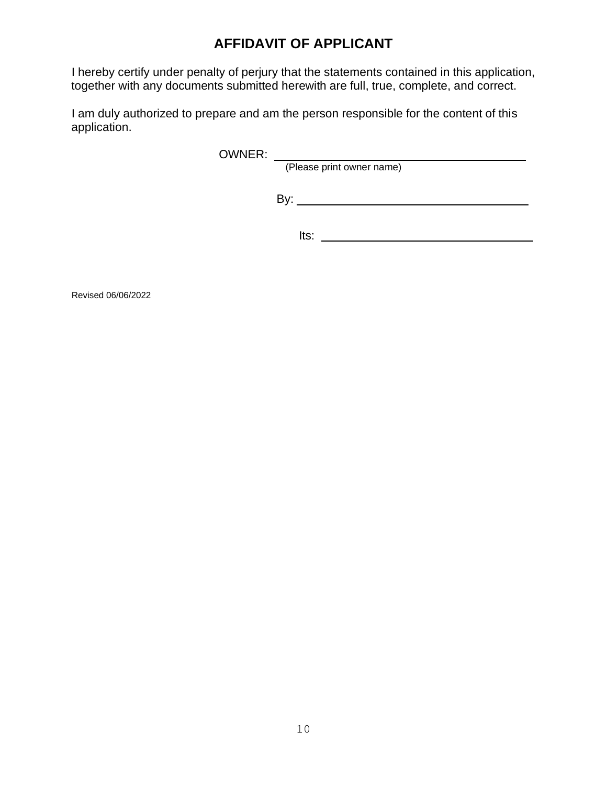# **AFFIDAVIT OF APPLICANT**

I hereby certify under penalty of perjury that the statements contained in this application, together with any documents submitted herewith are full, true, complete, and correct.

I am duly authorized to prepare and am the person responsible for the content of this application.

OWNER:

(Please print owner name)

By:

Its:

Revised 06/06/2022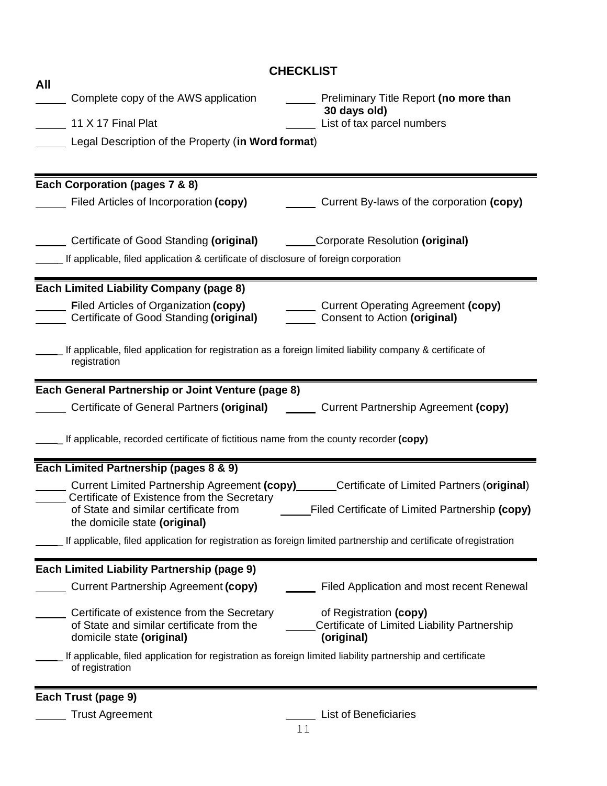| <b>CHECKLIST</b>                                                                                                                                                                                                |  |  |  |  |
|-----------------------------------------------------------------------------------------------------------------------------------------------------------------------------------------------------------------|--|--|--|--|
| All<br>Complete copy of the AWS application<br>Preliminary Title Report (no more than<br>30 days old)<br>11 X 17 Final Plat<br>List of tax parcel numbers<br>Legal Description of the Property (in Word format) |  |  |  |  |
| Each Corporation (pages 7 & 8)                                                                                                                                                                                  |  |  |  |  |
| Current By-laws of the corporation (copy)<br>Filed Articles of Incorporation (copy)                                                                                                                             |  |  |  |  |
| Certificate of Good Standing (original) Corporate Resolution (original)                                                                                                                                         |  |  |  |  |
| L If applicable, filed application & certificate of disclosure of foreign corporation                                                                                                                           |  |  |  |  |
| <b>Each Limited Liability Company (page 8)</b>                                                                                                                                                                  |  |  |  |  |
| <b>Example 3 Filed Articles of Organization (copy)</b><br>Current Operating Agreement (copy)<br>Certificate of Good Standing (original)<br>Consent to Action (original)                                         |  |  |  |  |
| If applicable, filed application for registration as a foreign limited liability company & certificate of<br>registration                                                                                       |  |  |  |  |
| Each General Partnership or Joint Venture (page 8)                                                                                                                                                              |  |  |  |  |
| Certificate of General Partners (original) Current Partnership Agreement (copy)                                                                                                                                 |  |  |  |  |
| ___ If applicable, recorded certificate of fictitious name from the county recorder (copy)                                                                                                                      |  |  |  |  |
| Each Limited Partnership (pages 8 & 9)                                                                                                                                                                          |  |  |  |  |
| Current Limited Partnership Agreement (copy) Certificate of Limited Partners (original)                                                                                                                         |  |  |  |  |
| Certificate of Existence from the Secretary<br>Filed Certificate of Limited Partnership (copy)<br>of State and similar certificate from<br>the domicile state (original)                                        |  |  |  |  |
| If applicable, filed application for registration as foreign limited partnership and certificate of registration                                                                                                |  |  |  |  |
| Each Limited Liability Partnership (page 9)                                                                                                                                                                     |  |  |  |  |
| <b>Current Partnership Agreement (copy)</b><br>Filed Application and most recent Renewal                                                                                                                        |  |  |  |  |
|                                                                                                                                                                                                                 |  |  |  |  |
| Certificate of existence from the Secretary<br>of Registration (copy)<br>of State and similar certificate from the<br>Certificate of Limited Liability Partnership<br>domicile state (original)<br>(original)   |  |  |  |  |
| If applicable, filed application for registration as foreign limited liability partnership and certificate<br>of registration                                                                                   |  |  |  |  |
| Each Trust (page 9)                                                                                                                                                                                             |  |  |  |  |
| <b>List of Beneficiaries</b><br><b>Trust Agreement</b>                                                                                                                                                          |  |  |  |  |